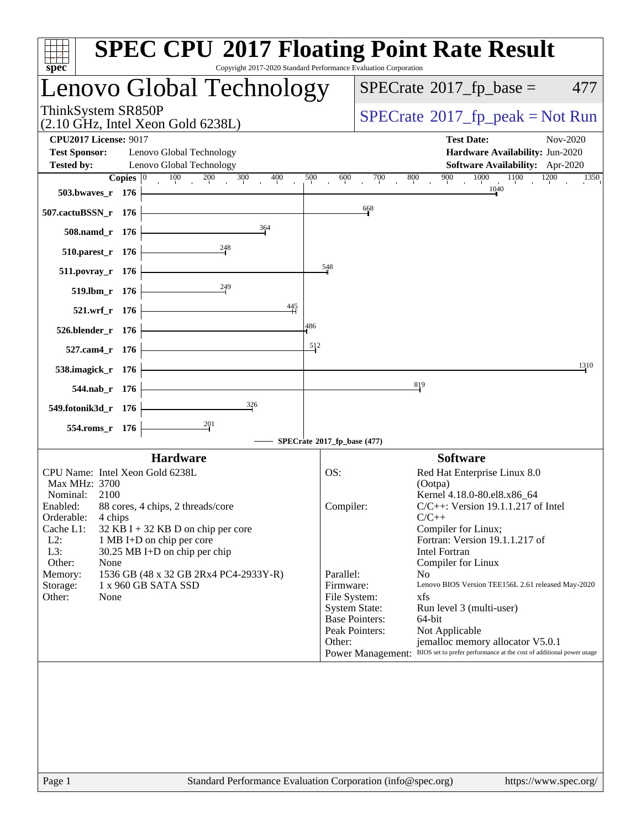| $spec^*$                                                                                                                                                                                           |              | <b>SPEC CPU®2017 Floating Point Rate Result</b><br>Copyright 2017-2020 Standard Performance Evaluation Corporation                                                                                                           |                            |                                                                                                                                       |                                                                                                                                                                                                                                                                                                                                                                                                                                                                                                      |
|----------------------------------------------------------------------------------------------------------------------------------------------------------------------------------------------------|--------------|------------------------------------------------------------------------------------------------------------------------------------------------------------------------------------------------------------------------------|----------------------------|---------------------------------------------------------------------------------------------------------------------------------------|------------------------------------------------------------------------------------------------------------------------------------------------------------------------------------------------------------------------------------------------------------------------------------------------------------------------------------------------------------------------------------------------------------------------------------------------------------------------------------------------------|
|                                                                                                                                                                                                    |              | Lenovo Global Technology                                                                                                                                                                                                     |                            | $SPECrate^{\circledast}2017$ _fp_base =<br>477                                                                                        |                                                                                                                                                                                                                                                                                                                                                                                                                                                                                                      |
| ThinkSystem SR850P                                                                                                                                                                                 |              | $(2.10 \text{ GHz}, \text{Intel Xeon Gold } 6238L)$                                                                                                                                                                          |                            | $SPECrate^{\circ}2017$ [p_peak = Not Run                                                                                              |                                                                                                                                                                                                                                                                                                                                                                                                                                                                                                      |
| <b>CPU2017 License: 9017</b><br><b>Test Sponsor:</b>                                                                                                                                               |              | Lenovo Global Technology                                                                                                                                                                                                     |                            |                                                                                                                                       | <b>Test Date:</b><br>Nov-2020<br>Hardware Availability: Jun-2020<br>Software Availability: Apr-2020                                                                                                                                                                                                                                                                                                                                                                                                  |
| <b>Tested by:</b>                                                                                                                                                                                  | Copies $ 0 $ | Lenovo Global Technology<br>$\frac{100}{1}$<br>200<br>400<br>300                                                                                                                                                             | 500                        | 600<br>700                                                                                                                            | 1000<br>1100<br>900<br>1200<br>800<br>1350                                                                                                                                                                                                                                                                                                                                                                                                                                                           |
| 503.bwaves_r 176                                                                                                                                                                                   |              |                                                                                                                                                                                                                              |                            |                                                                                                                                       | 1040                                                                                                                                                                                                                                                                                                                                                                                                                                                                                                 |
| 507.cactuBSSN_r 176                                                                                                                                                                                |              |                                                                                                                                                                                                                              |                            | 668                                                                                                                                   |                                                                                                                                                                                                                                                                                                                                                                                                                                                                                                      |
| 508.namd_r 176                                                                                                                                                                                     |              | 364                                                                                                                                                                                                                          |                            |                                                                                                                                       |                                                                                                                                                                                                                                                                                                                                                                                                                                                                                                      |
| 510.parest_r 176                                                                                                                                                                                   |              | $^{248}$                                                                                                                                                                                                                     |                            |                                                                                                                                       |                                                                                                                                                                                                                                                                                                                                                                                                                                                                                                      |
| 511.povray_r 176                                                                                                                                                                                   |              |                                                                                                                                                                                                                              | 548                        |                                                                                                                                       |                                                                                                                                                                                                                                                                                                                                                                                                                                                                                                      |
| 519.lbm_r 176                                                                                                                                                                                      |              | 249                                                                                                                                                                                                                          |                            |                                                                                                                                       |                                                                                                                                                                                                                                                                                                                                                                                                                                                                                                      |
| 521.wrf_r 176                                                                                                                                                                                      |              | $\frac{445}{4}$                                                                                                                                                                                                              |                            |                                                                                                                                       |                                                                                                                                                                                                                                                                                                                                                                                                                                                                                                      |
| 526.blender_r 176                                                                                                                                                                                  |              |                                                                                                                                                                                                                              | 486                        |                                                                                                                                       |                                                                                                                                                                                                                                                                                                                                                                                                                                                                                                      |
| 527.cam4_r 176                                                                                                                                                                                     |              |                                                                                                                                                                                                                              | 512                        |                                                                                                                                       |                                                                                                                                                                                                                                                                                                                                                                                                                                                                                                      |
| 538.imagick_r 176                                                                                                                                                                                  |              |                                                                                                                                                                                                                              |                            |                                                                                                                                       | 1310                                                                                                                                                                                                                                                                                                                                                                                                                                                                                                 |
| 544.nab_r 176                                                                                                                                                                                      |              |                                                                                                                                                                                                                              |                            |                                                                                                                                       | 819                                                                                                                                                                                                                                                                                                                                                                                                                                                                                                  |
| 549.fotonik3d_r 176                                                                                                                                                                                |              | 326                                                                                                                                                                                                                          |                            |                                                                                                                                       |                                                                                                                                                                                                                                                                                                                                                                                                                                                                                                      |
| 554.roms_r 176                                                                                                                                                                                     |              | $\frac{201}{4}$                                                                                                                                                                                                              |                            |                                                                                                                                       |                                                                                                                                                                                                                                                                                                                                                                                                                                                                                                      |
|                                                                                                                                                                                                    |              |                                                                                                                                                                                                                              |                            | SPECrate®2017_fp_base (477)                                                                                                           |                                                                                                                                                                                                                                                                                                                                                                                                                                                                                                      |
| CPU Name: Intel Xeon Gold 6238L<br>Max MHz: 3700<br>Nominal:<br>2100<br>Enabled:<br>Orderable:<br>4 chips<br>Cache L1:<br>$L2$ :<br>L3:<br>Other:<br>None<br>Memory:<br>Storage:<br>Other:<br>None |              | <b>Hardware</b><br>88 cores, 4 chips, 2 threads/core<br>$32$ KB I + 32 KB D on chip per core<br>1 MB I+D on chip per core<br>$30.25$ MB I+D on chip per chip<br>1536 GB (48 x 32 GB 2Rx4 PC4-2933Y-R)<br>1 x 960 GB SATA SSD | OS:<br>Parallel:<br>Other: | Compiler:<br>Firmware:<br>File System:<br><b>System State:</b><br><b>Base Pointers:</b><br>Peak Pointers:<br><b>Power Management:</b> | <b>Software</b><br>Red Hat Enterprise Linux 8.0<br>(Ootpa)<br>Kernel 4.18.0-80.el8.x86_64<br>C/C++: Version 19.1.1.217 of Intel<br>$C/C++$<br>Compiler for Linux;<br>Fortran: Version 19.1.1.217 of<br><b>Intel Fortran</b><br>Compiler for Linux<br>N <sub>0</sub><br>Lenovo BIOS Version TEE156L 2.61 released May-2020<br>xfs<br>Run level 3 (multi-user)<br>64-bit<br>Not Applicable<br>jemalloc memory allocator V5.0.1<br>BIOS set to prefer performance at the cost of additional power usage |
| Page 1                                                                                                                                                                                             |              | Standard Performance Evaluation Corporation (info@spec.org)                                                                                                                                                                  |                            |                                                                                                                                       | https://www.spec.org/                                                                                                                                                                                                                                                                                                                                                                                                                                                                                |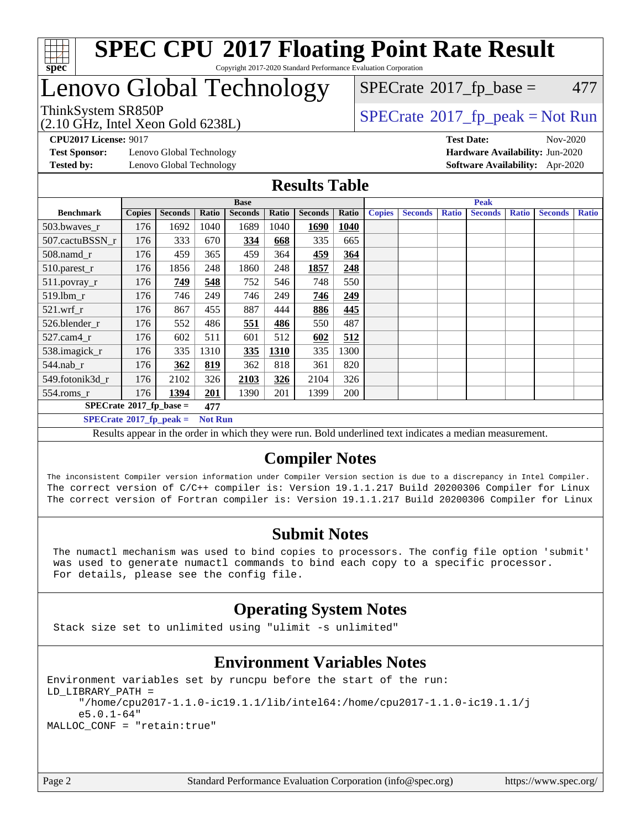

### **[SPEC CPU](http://www.spec.org/auto/cpu2017/Docs/result-fields.html#SPECCPU2017FloatingPointRateResult)[2017 Floating Point Rate Result](http://www.spec.org/auto/cpu2017/Docs/result-fields.html#SPECCPU2017FloatingPointRateResult)** Copyright 2017-2020 Standard Performance Evaluation Corporation

## Lenovo Global Technology

(2.10 GHz, Intel Xeon Gold 6238L)

 $SPECTate$ <sup>®</sup>[2017\\_fp\\_base =](http://www.spec.org/auto/cpu2017/Docs/result-fields.html#SPECrate2017fpbase) 477

ThinkSystem SR850P<br>  $(2.10 \text{ GHz, Intel Yoon Gold } 62381)$  [SPECrate](http://www.spec.org/auto/cpu2017/Docs/result-fields.html#SPECrate2017fppeak)®[2017\\_fp\\_peak = N](http://www.spec.org/auto/cpu2017/Docs/result-fields.html#SPECrate2017fppeak)ot Run

**[Test Sponsor:](http://www.spec.org/auto/cpu2017/Docs/result-fields.html#TestSponsor)** Lenovo Global Technology **[Hardware Availability:](http://www.spec.org/auto/cpu2017/Docs/result-fields.html#HardwareAvailability)** Jun-2020 **[Tested by:](http://www.spec.org/auto/cpu2017/Docs/result-fields.html#Testedby)** Lenovo Global Technology **[Software Availability:](http://www.spec.org/auto/cpu2017/Docs/result-fields.html#SoftwareAvailability)** Apr-2020

**[CPU2017 License:](http://www.spec.org/auto/cpu2017/Docs/result-fields.html#CPU2017License)** 9017 **[Test Date:](http://www.spec.org/auto/cpu2017/Docs/result-fields.html#TestDate)** Nov-2020

## **[Results Table](http://www.spec.org/auto/cpu2017/Docs/result-fields.html#ResultsTable)**

|                                                                                                                                                                                              | <b>Base</b>   |                |       |                |       |                | <b>Peak</b> |               |                |              |                |              |                |              |
|----------------------------------------------------------------------------------------------------------------------------------------------------------------------------------------------|---------------|----------------|-------|----------------|-------|----------------|-------------|---------------|----------------|--------------|----------------|--------------|----------------|--------------|
| <b>Benchmark</b>                                                                                                                                                                             | <b>Copies</b> | <b>Seconds</b> | Ratio | <b>Seconds</b> | Ratio | <b>Seconds</b> | Ratio       | <b>Copies</b> | <b>Seconds</b> | <b>Ratio</b> | <b>Seconds</b> | <b>Ratio</b> | <b>Seconds</b> | <b>Ratio</b> |
| 503.bwayes_r                                                                                                                                                                                 | 176           | 1692           | 1040  | 1689           | 1040  | 1690           | 1040        |               |                |              |                |              |                |              |
| 507.cactuBSSN r                                                                                                                                                                              | 176           | 333            | 670   | <b>334</b>     | 668   | 335            | 665         |               |                |              |                |              |                |              |
| $508$ .namd $r$                                                                                                                                                                              | 176           | 459            | 365   | 459            | 364   | 459            | 364         |               |                |              |                |              |                |              |
| 510.parest_r                                                                                                                                                                                 | 176           | 1856           | 248   | 1860           | 248   | 1857           | 248         |               |                |              |                |              |                |              |
| 511.povray_r                                                                                                                                                                                 | 176           | 749            | 548   | 752            | 546   | 748            | 550         |               |                |              |                |              |                |              |
| 519.1bm_r                                                                                                                                                                                    | 176           | 746            | 249   | 746            | 249   | 746            | 249         |               |                |              |                |              |                |              |
| $521$ .wrf r                                                                                                                                                                                 | 176           | 867            | 455   | 887            | 444   | 886            | 445         |               |                |              |                |              |                |              |
| 526.blender r                                                                                                                                                                                | 176           | 552            | 486   | 551            | 486   | 550            | 487         |               |                |              |                |              |                |              |
| 527.cam4 r                                                                                                                                                                                   | 176           | 602            | 511   | 601            | 512   | 602            | 512         |               |                |              |                |              |                |              |
| 538.imagick_r                                                                                                                                                                                | 176           | 335            | 1310  | 335            | 1310  | 335            | 1300        |               |                |              |                |              |                |              |
| $544$ .nab_r                                                                                                                                                                                 | 176           | 362            | 819   | 362            | 818   | 361            | 820         |               |                |              |                |              |                |              |
| 549.fotonik3d r                                                                                                                                                                              | 176           | 2102           | 326   | 2103           | 326   | 2104           | 326         |               |                |              |                |              |                |              |
| 554.roms r                                                                                                                                                                                   | 176           | 1394           | 201   | 1390           | 201   | 1399           | 200         |               |                |              |                |              |                |              |
| $SPECrate^{\circ}2017$ fp base =<br>477                                                                                                                                                      |               |                |       |                |       |                |             |               |                |              |                |              |                |              |
| $SPECrate^{\circ}2017_fp\_peak =$<br><b>Not Run</b>                                                                                                                                          |               |                |       |                |       |                |             |               |                |              |                |              |                |              |
| $-1$ , $-1$ , $-1$ , $-1$ , $-1$ , $-1$ , $-1$ , $-1$ , $-1$ , $-1$ , $-1$ , $-1$ , $-1$<br>$\mathbf{H}$<br>.<br>$\mathbf{r}$ $\mathbf{r}$<br>$\mathbf{m}$ and $\mathbf{m}$<br>$\sim$ $\sim$ |               |                |       |                |       |                |             |               |                |              |                |              |                |              |

Results appear in the [order in which they were run](http://www.spec.org/auto/cpu2017/Docs/result-fields.html#RunOrder). Bold underlined text [indicates a median measurement.](http://www.spec.org/auto/cpu2017/Docs/result-fields.html#Median)

## **[Compiler Notes](http://www.spec.org/auto/cpu2017/Docs/result-fields.html#CompilerNotes)**

The inconsistent Compiler version information under Compiler Version section is due to a discrepancy in Intel Compiler. The correct version of C/C++ compiler is: Version 19.1.1.217 Build 20200306 Compiler for Linux The correct version of Fortran compiler is: Version 19.1.1.217 Build 20200306 Compiler for Linux

## **[Submit Notes](http://www.spec.org/auto/cpu2017/Docs/result-fields.html#SubmitNotes)**

 The numactl mechanism was used to bind copies to processors. The config file option 'submit' was used to generate numactl commands to bind each copy to a specific processor. For details, please see the config file.

## **[Operating System Notes](http://www.spec.org/auto/cpu2017/Docs/result-fields.html#OperatingSystemNotes)**

Stack size set to unlimited using "ulimit -s unlimited"

## **[Environment Variables Notes](http://www.spec.org/auto/cpu2017/Docs/result-fields.html#EnvironmentVariablesNotes)**

Environment variables set by runcpu before the start of the run: LD\_LIBRARY\_PATH = "/home/cpu2017-1.1.0-ic19.1.1/lib/intel64:/home/cpu2017-1.1.0-ic19.1.1/j e5.0.1-64" MALLOC\_CONF = "retain:true"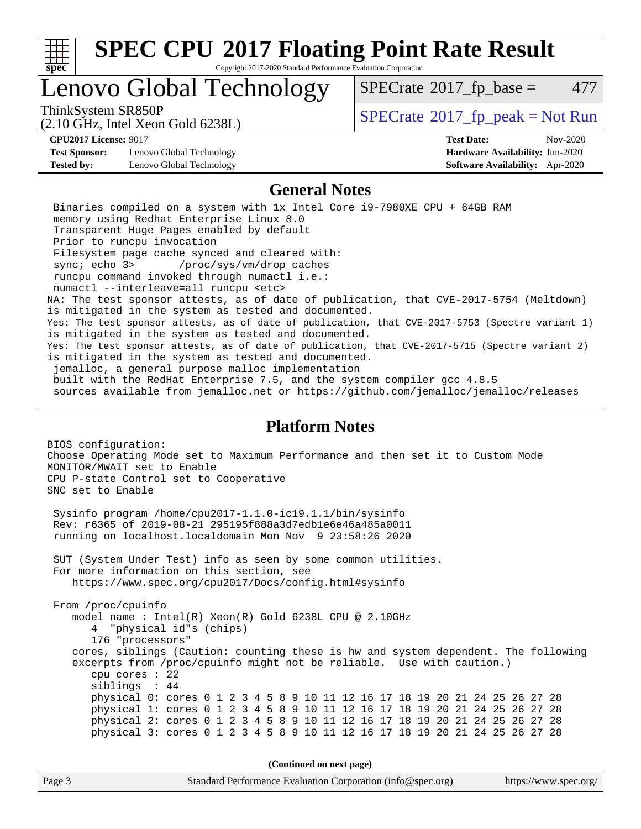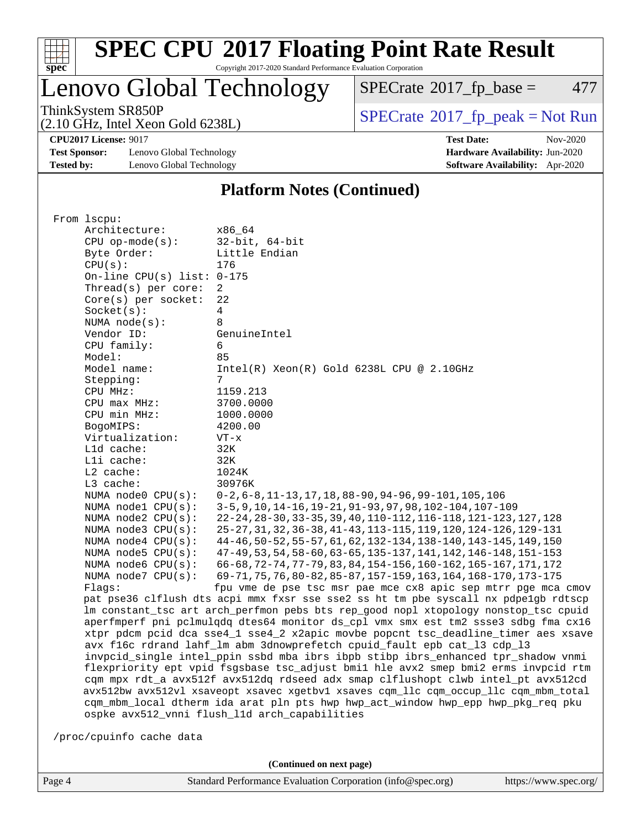

Copyright 2017-2020 Standard Performance Evaluation Corporation

Lenovo Global Technology

 $SPECTate@2017_fp\_base = 477$ 

(2.10 GHz, Intel Xeon Gold 6238L)

ThinkSystem SR850P<br>  $(2.10 \text{ GHz})$  Intel Xeon Gold 6238I)

**[CPU2017 License:](http://www.spec.org/auto/cpu2017/Docs/result-fields.html#CPU2017License)** 9017 **[Test Date:](http://www.spec.org/auto/cpu2017/Docs/result-fields.html#TestDate)** Nov-2020

**[Test Sponsor:](http://www.spec.org/auto/cpu2017/Docs/result-fields.html#TestSponsor)** Lenovo Global Technology **[Hardware Availability:](http://www.spec.org/auto/cpu2017/Docs/result-fields.html#HardwareAvailability)** Jun-2020 **[Tested by:](http://www.spec.org/auto/cpu2017/Docs/result-fields.html#Testedby)** Lenovo Global Technology **[Software Availability:](http://www.spec.org/auto/cpu2017/Docs/result-fields.html#SoftwareAvailability)** Apr-2020

### **[Platform Notes \(Continued\)](http://www.spec.org/auto/cpu2017/Docs/result-fields.html#PlatformNotes)**

|  | From 1scpu:                                                                                                                                                                                                                                                |                                                                                      |  |  |  |  |
|--|------------------------------------------------------------------------------------------------------------------------------------------------------------------------------------------------------------------------------------------------------------|--------------------------------------------------------------------------------------|--|--|--|--|
|  | Architecture:                                                                                                                                                                                                                                              | x86 64                                                                               |  |  |  |  |
|  | $CPU$ op-mode( $s$ ):                                                                                                                                                                                                                                      | $32$ -bit, $64$ -bit                                                                 |  |  |  |  |
|  | Byte Order:                                                                                                                                                                                                                                                | Little Endian                                                                        |  |  |  |  |
|  | CPU(s):                                                                                                                                                                                                                                                    | 176                                                                                  |  |  |  |  |
|  | On-line CPU(s) list: $0-175$                                                                                                                                                                                                                               |                                                                                      |  |  |  |  |
|  | Thread(s) per core:                                                                                                                                                                                                                                        | $\overline{2}$                                                                       |  |  |  |  |
|  | $Core(s)$ per socket:                                                                                                                                                                                                                                      | 22                                                                                   |  |  |  |  |
|  |                                                                                                                                                                                                                                                            | 4                                                                                    |  |  |  |  |
|  | Socket(s):<br>NUMA $node(s)$ :                                                                                                                                                                                                                             | 8                                                                                    |  |  |  |  |
|  |                                                                                                                                                                                                                                                            |                                                                                      |  |  |  |  |
|  | Vendor ID:                                                                                                                                                                                                                                                 | GenuineIntel                                                                         |  |  |  |  |
|  | CPU family:                                                                                                                                                                                                                                                | 6                                                                                    |  |  |  |  |
|  | Model:                                                                                                                                                                                                                                                     | 85                                                                                   |  |  |  |  |
|  | Model name:                                                                                                                                                                                                                                                | $Intel(R)$ Xeon $(R)$ Gold 6238L CPU @ 2.10GHz                                       |  |  |  |  |
|  | Stepping:                                                                                                                                                                                                                                                  | 7                                                                                    |  |  |  |  |
|  | CPU MHz:                                                                                                                                                                                                                                                   | 1159.213                                                                             |  |  |  |  |
|  | $CPU$ max $MHz$ :                                                                                                                                                                                                                                          | 3700.0000                                                                            |  |  |  |  |
|  | CPU min MHz:                                                                                                                                                                                                                                               | 1000.0000                                                                            |  |  |  |  |
|  | BogoMIPS:                                                                                                                                                                                                                                                  | 4200.00                                                                              |  |  |  |  |
|  | Virtualization:                                                                                                                                                                                                                                            | $VT - x$                                                                             |  |  |  |  |
|  | Lld cache:                                                                                                                                                                                                                                                 | 32K                                                                                  |  |  |  |  |
|  | Lli cache:                                                                                                                                                                                                                                                 | 32K                                                                                  |  |  |  |  |
|  | L2 cache:                                                                                                                                                                                                                                                  | 1024K                                                                                |  |  |  |  |
|  | L3 cache:                                                                                                                                                                                                                                                  | 30976K                                                                               |  |  |  |  |
|  | NUMA node0 CPU(s):                                                                                                                                                                                                                                         | $0-2, 6-8, 11-13, 17, 18, 88-90, 94-96, 99-101, 105, 106$                            |  |  |  |  |
|  | NUMA $node1$ $CPU(s)$ :                                                                                                                                                                                                                                    | 3-5, 9, 10, 14-16, 19-21, 91-93, 97, 98, 102-104, 107-109                            |  |  |  |  |
|  | NUMA $node2$ $CPU(s)$ :                                                                                                                                                                                                                                    | 22-24, 28-30, 33-35, 39, 40, 110-112, 116-118, 121-123, 127, 128                     |  |  |  |  |
|  | NUMA $node3$ CPU $(s)$ :                                                                                                                                                                                                                                   | 25-27, 31, 32, 36-38, 41-43, 113-115, 119, 120, 124-126, 129-131                     |  |  |  |  |
|  | NUMA $node4$ $CPU(s):$                                                                                                                                                                                                                                     | 44-46, 50-52, 55-57, 61, 62, 132-134, 138-140, 143-145, 149, 150                     |  |  |  |  |
|  | NUMA $node5$ $CPU(s):$                                                                                                                                                                                                                                     | 47-49, 53, 54, 58-60, 63-65, 135-137, 141, 142, 146-148, 151-153                     |  |  |  |  |
|  | NUMA node6 CPU(s):                                                                                                                                                                                                                                         | 66-68, 72-74, 77-79, 83, 84, 154-156, 160-162, 165-167, 171, 172                     |  |  |  |  |
|  | NUMA $node7$ CPU $(s)$ :                                                                                                                                                                                                                                   | 69-71, 75, 76, 80-82, 85-87, 157-159, 163, 164, 168-170, 173-175                     |  |  |  |  |
|  | Flaqs:                                                                                                                                                                                                                                                     | fpu vme de pse tsc msr pae mce cx8 apic sep mtrr pge mca cmov                        |  |  |  |  |
|  |                                                                                                                                                                                                                                                            | pat pse36 clflush dts acpi mmx fxsr sse sse2 ss ht tm pbe syscall nx pdpe1qb rdtscp  |  |  |  |  |
|  |                                                                                                                                                                                                                                                            | lm constant_tsc art arch_perfmon pebs bts rep_good nopl xtopology nonstop_tsc cpuid  |  |  |  |  |
|  |                                                                                                                                                                                                                                                            | aperfmperf pni pclmulqdq dtes64 monitor ds_cpl vmx smx est tm2 ssse3 sdbg fma cx16   |  |  |  |  |
|  |                                                                                                                                                                                                                                                            | xtpr pdcm pcid dca sse4 1 sse4 2 x2apic movbe popcnt tsc deadline timer aes xsave    |  |  |  |  |
|  |                                                                                                                                                                                                                                                            | avx f16c rdrand lahf_lm abm 3dnowprefetch cpuid_fault epb cat_13 cdp_13              |  |  |  |  |
|  | invpcid_single intel_ppin ssbd mba ibrs ibpb stibp ibrs_enhanced tpr_shadow vnmi<br>flexpriority ept vpid fsgsbase tsc_adjust bmil hle avx2 smep bmi2 erms invpcid rtm<br>cqm mpx rdt_a avx512f avx512dq rdseed adx smap clflushopt clwb intel_pt avx512cd |                                                                                      |  |  |  |  |
|  |                                                                                                                                                                                                                                                            |                                                                                      |  |  |  |  |
|  |                                                                                                                                                                                                                                                            |                                                                                      |  |  |  |  |
|  |                                                                                                                                                                                                                                                            | avx512bw avx512vl xsaveopt xsavec xgetbvl xsaves cqm_llc cqm_occup_llc cqm_mbm_total |  |  |  |  |
|  | cqm_mbm_local dtherm ida arat pln pts hwp hwp_act_window hwp_epp hwp_pkg_req pku                                                                                                                                                                           |                                                                                      |  |  |  |  |
|  |                                                                                                                                                                                                                                                            | ospke avx512_vnni flush_l1d arch_capabilities                                        |  |  |  |  |
|  |                                                                                                                                                                                                                                                            |                                                                                      |  |  |  |  |
|  | /proc/cpuinfo cache data                                                                                                                                                                                                                                   |                                                                                      |  |  |  |  |

**(Continued on next page)**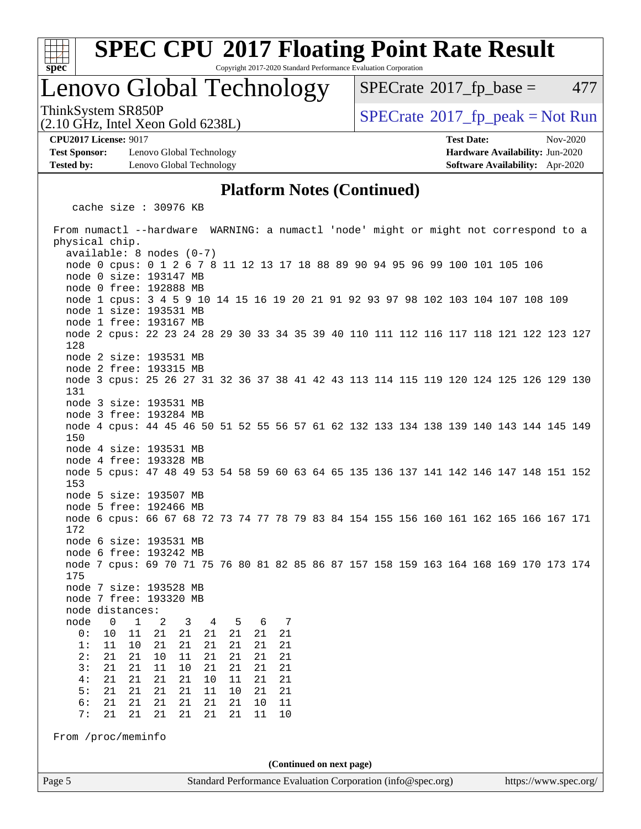

Copyright 2017-2020 Standard Performance Evaluation Corporation

## Lenovo Global Technology

 $SPECTate@2017<sub>fr</sub> base = 477$ 

ThinkSystem SR850P<br>  $SPECTA = Not Run$ <br>  $SPECTA = Not Run$ 

**[Test Sponsor:](http://www.spec.org/auto/cpu2017/Docs/result-fields.html#TestSponsor)** Lenovo Global Technology **[Hardware Availability:](http://www.spec.org/auto/cpu2017/Docs/result-fields.html#HardwareAvailability)** Jun-2020 **[Tested by:](http://www.spec.org/auto/cpu2017/Docs/result-fields.html#Testedby)** Lenovo Global Technology **[Software Availability:](http://www.spec.org/auto/cpu2017/Docs/result-fields.html#SoftwareAvailability)** Apr-2020

(2.10 GHz, Intel Xeon Gold 6238L)

**[CPU2017 License:](http://www.spec.org/auto/cpu2017/Docs/result-fields.html#CPU2017License)** 9017 **[Test Date:](http://www.spec.org/auto/cpu2017/Docs/result-fields.html#TestDate)** Nov-2020

### **[Platform Notes \(Continued\)](http://www.spec.org/auto/cpu2017/Docs/result-fields.html#PlatformNotes)**

cache size : 30976 KB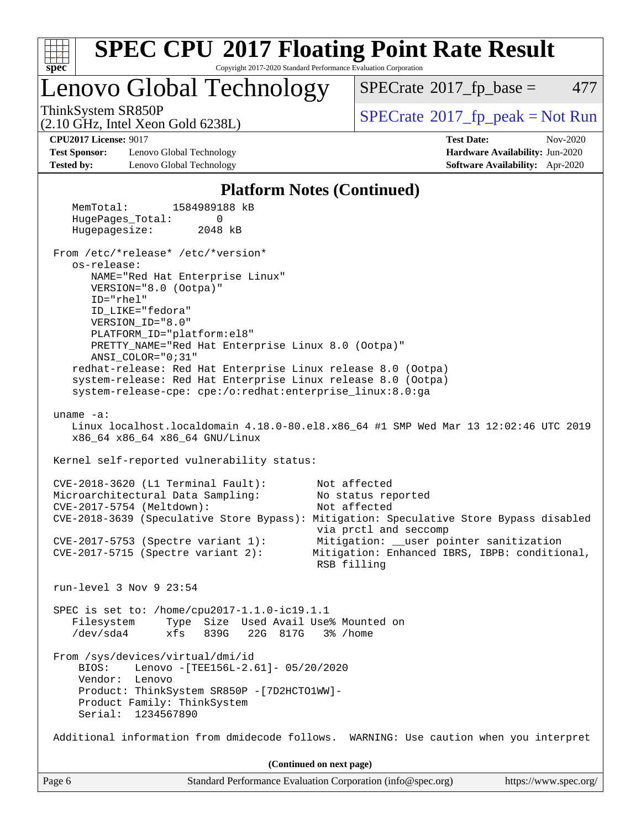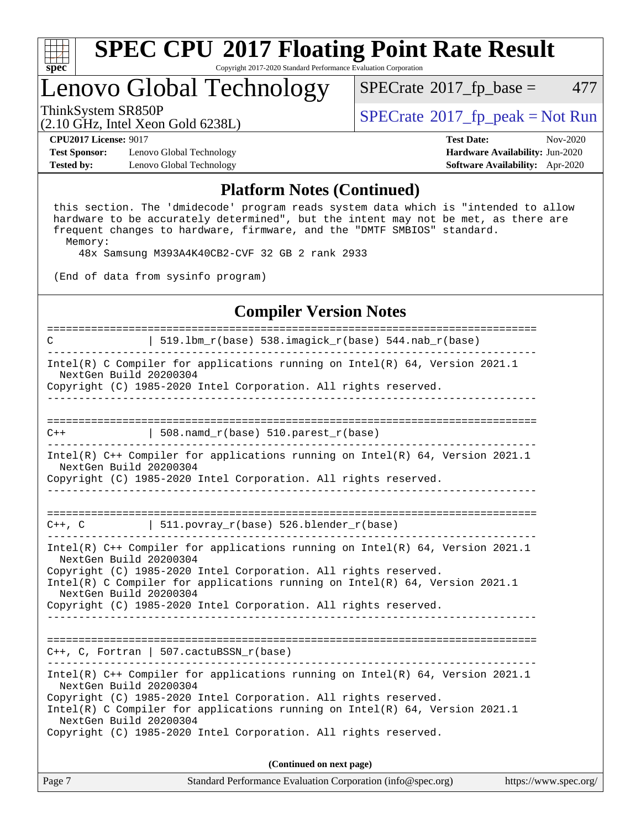

Copyright 2017-2020 Standard Performance Evaluation Corporation

# Lenovo Global Technology

 $SPECTate@2017<sub>fr</sub> base = 477$ 

(2.10 GHz, Intel Xeon Gold 6238L)

ThinkSystem SR850P<br>  $\begin{array}{c}\n\text{SPECTR} \text{Data Total Score} \\
\text{SPECTR} \text{D} \text{C} \text{N} \text{C} \text{N} \text{C} \text{N} \text{C} \text{C} \text{N} \text{C} \text{C} \text{N} \text{C} \text{C} \text{N} \text{C} \text{N} \text{C} \text{N} \text{C} \text{N} \text{C} \text{N} \text{C} \text{N} \text{C} \text{N} \text{C} \text{N} \text{C} \text{N} \text{C} \text{N}$ 

**[Test Sponsor:](http://www.spec.org/auto/cpu2017/Docs/result-fields.html#TestSponsor)** Lenovo Global Technology **[Hardware Availability:](http://www.spec.org/auto/cpu2017/Docs/result-fields.html#HardwareAvailability)** Jun-2020 **[Tested by:](http://www.spec.org/auto/cpu2017/Docs/result-fields.html#Testedby)** Lenovo Global Technology **[Software Availability:](http://www.spec.org/auto/cpu2017/Docs/result-fields.html#SoftwareAvailability)** Apr-2020

**[CPU2017 License:](http://www.spec.org/auto/cpu2017/Docs/result-fields.html#CPU2017License)** 9017 **[Test Date:](http://www.spec.org/auto/cpu2017/Docs/result-fields.html#TestDate)** Nov-2020

### **[Platform Notes \(Continued\)](http://www.spec.org/auto/cpu2017/Docs/result-fields.html#PlatformNotes)**

 this section. The 'dmidecode' program reads system data which is "intended to allow hardware to be accurately determined", but the intent may not be met, as there are frequent changes to hardware, firmware, and the "DMTF SMBIOS" standard. Memory:

48x Samsung M393A4K40CB2-CVF 32 GB 2 rank 2933

(End of data from sysinfo program)

### **[Compiler Version Notes](http://www.spec.org/auto/cpu2017/Docs/result-fields.html#CompilerVersionNotes)**

============================================================================== C  $| 519.1bm_r(base) 538.imagick_r(base) 544.nab_r(base)$ ------------------------------------------------------------------------------ Intel(R) C Compiler for applications running on Intel(R) 64, Version 2021.1 NextGen Build 20200304 Copyright (C) 1985-2020 Intel Corporation. All rights reserved. ------------------------------------------------------------------------------ ==============================================================================  $C++$  | 508.namd\_r(base) 510.parest\_r(base) ------------------------------------------------------------------------------ Intel(R) C++ Compiler for applications running on Intel(R) 64, Version 2021.1 NextGen Build 20200304 Copyright (C) 1985-2020 Intel Corporation. All rights reserved. ------------------------------------------------------------------------------ ==============================================================================  $C++$ , C  $| 511.povray_r(base) 526.blender_r(base)$ ------------------------------------------------------------------------------ Intel(R) C++ Compiler for applications running on Intel(R) 64, Version 2021.1 NextGen Build 20200304 Copyright (C) 1985-2020 Intel Corporation. All rights reserved. Intel(R) C Compiler for applications running on Intel(R) 64, Version 2021.1 NextGen Build 20200304 Copyright (C) 1985-2020 Intel Corporation. All rights reserved. ------------------------------------------------------------------------------ ============================================================================== C++, C, Fortran | 507.cactuBSSN\_r(base) ------------------------------------------------------------------------------ Intel(R) C++ Compiler for applications running on Intel(R) 64, Version 2021.1 NextGen Build 20200304 Copyright (C) 1985-2020 Intel Corporation. All rights reserved. Intel(R) C Compiler for applications running on Intel(R) 64, Version 2021.1 NextGen Build 20200304 Copyright (C) 1985-2020 Intel Corporation. All rights reserved. **(Continued on next page)**

Page 7 Standard Performance Evaluation Corporation [\(info@spec.org\)](mailto:info@spec.org) <https://www.spec.org/>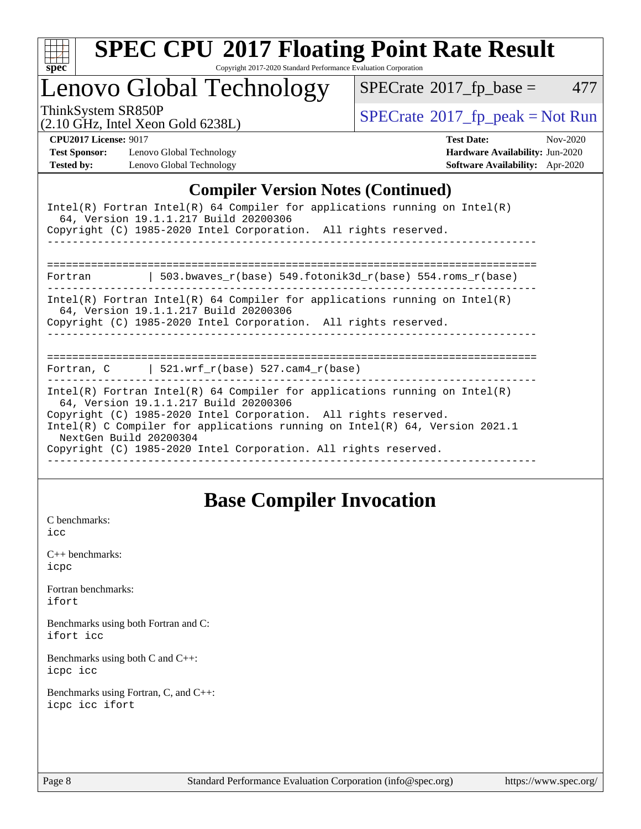

Copyright 2017-2020 Standard Performance Evaluation Corporation

Lenovo Global Technology

 $SPECTate@2017_fp\_base = 477$ 

(2.10 GHz, Intel Xeon Gold 6238L)

 $SPECTate@2017<sub>fr</sub> peak = Not Run$ 

**[Test Sponsor:](http://www.spec.org/auto/cpu2017/Docs/result-fields.html#TestSponsor)** Lenovo Global Technology **[Hardware Availability:](http://www.spec.org/auto/cpu2017/Docs/result-fields.html#HardwareAvailability)** Jun-2020 **[Tested by:](http://www.spec.org/auto/cpu2017/Docs/result-fields.html#Testedby)** Lenovo Global Technology **[Software Availability:](http://www.spec.org/auto/cpu2017/Docs/result-fields.html#SoftwareAvailability)** Apr-2020

**[CPU2017 License:](http://www.spec.org/auto/cpu2017/Docs/result-fields.html#CPU2017License)** 9017 **[Test Date:](http://www.spec.org/auto/cpu2017/Docs/result-fields.html#TestDate)** Nov-2020

## **[Compiler Version Notes \(Continued\)](http://www.spec.org/auto/cpu2017/Docs/result-fields.html#CompilerVersionNotes)**

|                        | Intel(R) Fortran Intel(R) 64 Compiler for applications running on Intel(R)<br>64, Version 19.1.1.217 Build 20200306<br>Copyright (C) 1985-2020 Intel Corporation. All rights reserved.                                                                                                                                                      |
|------------------------|---------------------------------------------------------------------------------------------------------------------------------------------------------------------------------------------------------------------------------------------------------------------------------------------------------------------------------------------|
| Fortran                | 503.bwaves $r(base)$ 549.fotonik3d $r(base)$ 554.roms $r(base)$                                                                                                                                                                                                                                                                             |
|                        | $Intel(R)$ Fortran Intel(R) 64 Compiler for applications running on Intel(R)<br>64, Version 19.1.1.217 Build 20200306<br>Copyright (C) 1985-2020 Intel Corporation. All rights reserved.<br>=========                                                                                                                                       |
|                        | Fortran, $C$   521.wrf_r(base) 527.cam4_r(base)                                                                                                                                                                                                                                                                                             |
| NextGen Build 20200304 | Intel(R) Fortran Intel(R) 64 Compiler for applications running on Intel(R)<br>64, Version 19.1.1.217 Build 20200306<br>Copyright (C) 1985-2020 Intel Corporation. All rights reserved.<br>Intel(R) C Compiler for applications running on Intel(R) $64$ , Version 2021.1<br>Copyright (C) 1985-2020 Intel Corporation. All rights reserved. |

## **[Base Compiler Invocation](http://www.spec.org/auto/cpu2017/Docs/result-fields.html#BaseCompilerInvocation)**

[C benchmarks](http://www.spec.org/auto/cpu2017/Docs/result-fields.html#Cbenchmarks): [icc](http://www.spec.org/cpu2017/results/res2020q4/cpu2017-20201123-24456.flags.html#user_CCbase_intel_icc_66fc1ee009f7361af1fbd72ca7dcefbb700085f36577c54f309893dd4ec40d12360134090235512931783d35fd58c0460139e722d5067c5574d8eaf2b3e37e92)

[C++ benchmarks:](http://www.spec.org/auto/cpu2017/Docs/result-fields.html#CXXbenchmarks) [icpc](http://www.spec.org/cpu2017/results/res2020q4/cpu2017-20201123-24456.flags.html#user_CXXbase_intel_icpc_c510b6838c7f56d33e37e94d029a35b4a7bccf4766a728ee175e80a419847e808290a9b78be685c44ab727ea267ec2f070ec5dc83b407c0218cded6866a35d07)

[Fortran benchmarks](http://www.spec.org/auto/cpu2017/Docs/result-fields.html#Fortranbenchmarks): [ifort](http://www.spec.org/cpu2017/results/res2020q4/cpu2017-20201123-24456.flags.html#user_FCbase_intel_ifort_8111460550e3ca792625aed983ce982f94888b8b503583aa7ba2b8303487b4d8a21a13e7191a45c5fd58ff318f48f9492884d4413fa793fd88dd292cad7027ca)

[Benchmarks using both Fortran and C](http://www.spec.org/auto/cpu2017/Docs/result-fields.html#BenchmarksusingbothFortranandC): [ifort](http://www.spec.org/cpu2017/results/res2020q4/cpu2017-20201123-24456.flags.html#user_CC_FCbase_intel_ifort_8111460550e3ca792625aed983ce982f94888b8b503583aa7ba2b8303487b4d8a21a13e7191a45c5fd58ff318f48f9492884d4413fa793fd88dd292cad7027ca) [icc](http://www.spec.org/cpu2017/results/res2020q4/cpu2017-20201123-24456.flags.html#user_CC_FCbase_intel_icc_66fc1ee009f7361af1fbd72ca7dcefbb700085f36577c54f309893dd4ec40d12360134090235512931783d35fd58c0460139e722d5067c5574d8eaf2b3e37e92)

[Benchmarks using both C and C++](http://www.spec.org/auto/cpu2017/Docs/result-fields.html#BenchmarksusingbothCandCXX): [icpc](http://www.spec.org/cpu2017/results/res2020q4/cpu2017-20201123-24456.flags.html#user_CC_CXXbase_intel_icpc_c510b6838c7f56d33e37e94d029a35b4a7bccf4766a728ee175e80a419847e808290a9b78be685c44ab727ea267ec2f070ec5dc83b407c0218cded6866a35d07) [icc](http://www.spec.org/cpu2017/results/res2020q4/cpu2017-20201123-24456.flags.html#user_CC_CXXbase_intel_icc_66fc1ee009f7361af1fbd72ca7dcefbb700085f36577c54f309893dd4ec40d12360134090235512931783d35fd58c0460139e722d5067c5574d8eaf2b3e37e92)

[Benchmarks using Fortran, C, and C++:](http://www.spec.org/auto/cpu2017/Docs/result-fields.html#BenchmarksusingFortranCandCXX) [icpc](http://www.spec.org/cpu2017/results/res2020q4/cpu2017-20201123-24456.flags.html#user_CC_CXX_FCbase_intel_icpc_c510b6838c7f56d33e37e94d029a35b4a7bccf4766a728ee175e80a419847e808290a9b78be685c44ab727ea267ec2f070ec5dc83b407c0218cded6866a35d07) [icc](http://www.spec.org/cpu2017/results/res2020q4/cpu2017-20201123-24456.flags.html#user_CC_CXX_FCbase_intel_icc_66fc1ee009f7361af1fbd72ca7dcefbb700085f36577c54f309893dd4ec40d12360134090235512931783d35fd58c0460139e722d5067c5574d8eaf2b3e37e92) [ifort](http://www.spec.org/cpu2017/results/res2020q4/cpu2017-20201123-24456.flags.html#user_CC_CXX_FCbase_intel_ifort_8111460550e3ca792625aed983ce982f94888b8b503583aa7ba2b8303487b4d8a21a13e7191a45c5fd58ff318f48f9492884d4413fa793fd88dd292cad7027ca)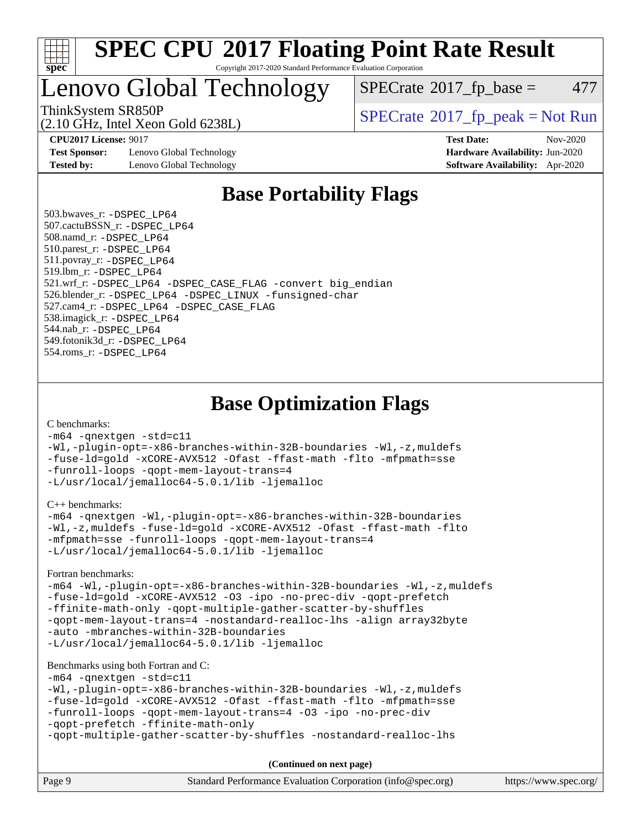

### **[SPEC CPU](http://www.spec.org/auto/cpu2017/Docs/result-fields.html#SPECCPU2017FloatingPointRateResult)[2017 Floating Point Rate Result](http://www.spec.org/auto/cpu2017/Docs/result-fields.html#SPECCPU2017FloatingPointRateResult)** Copyright 2017-2020 Standard Performance Evaluation Corporation

## Lenovo Global Technology

(2.10 GHz, Intel Xeon Gold 6238L)

 $SPECTate@2017<sub>fp</sub> base = 477$ 

ThinkSystem SR850P<br>  $SPECTR_{10}$  [SPECrate](http://www.spec.org/auto/cpu2017/Docs/result-fields.html#SPECrate2017fppeak)®[2017\\_fp\\_peak = N](http://www.spec.org/auto/cpu2017/Docs/result-fields.html#SPECrate2017fppeak)ot Run

**[Test Sponsor:](http://www.spec.org/auto/cpu2017/Docs/result-fields.html#TestSponsor)** Lenovo Global Technology **[Hardware Availability:](http://www.spec.org/auto/cpu2017/Docs/result-fields.html#HardwareAvailability)** Jun-2020 **[Tested by:](http://www.spec.org/auto/cpu2017/Docs/result-fields.html#Testedby)** Lenovo Global Technology **[Software Availability:](http://www.spec.org/auto/cpu2017/Docs/result-fields.html#SoftwareAvailability)** Apr-2020

**[CPU2017 License:](http://www.spec.org/auto/cpu2017/Docs/result-fields.html#CPU2017License)** 9017 **[Test Date:](http://www.spec.org/auto/cpu2017/Docs/result-fields.html#TestDate)** Nov-2020

## **[Base Portability Flags](http://www.spec.org/auto/cpu2017/Docs/result-fields.html#BasePortabilityFlags)**

 503.bwaves\_r: [-DSPEC\\_LP64](http://www.spec.org/cpu2017/results/res2020q4/cpu2017-20201123-24456.flags.html#suite_basePORTABILITY503_bwaves_r_DSPEC_LP64) 507.cactuBSSN\_r: [-DSPEC\\_LP64](http://www.spec.org/cpu2017/results/res2020q4/cpu2017-20201123-24456.flags.html#suite_basePORTABILITY507_cactuBSSN_r_DSPEC_LP64) 508.namd\_r: [-DSPEC\\_LP64](http://www.spec.org/cpu2017/results/res2020q4/cpu2017-20201123-24456.flags.html#suite_basePORTABILITY508_namd_r_DSPEC_LP64) 510.parest\_r: [-DSPEC\\_LP64](http://www.spec.org/cpu2017/results/res2020q4/cpu2017-20201123-24456.flags.html#suite_basePORTABILITY510_parest_r_DSPEC_LP64) 511.povray\_r: [-DSPEC\\_LP64](http://www.spec.org/cpu2017/results/res2020q4/cpu2017-20201123-24456.flags.html#suite_basePORTABILITY511_povray_r_DSPEC_LP64) 519.lbm\_r: [-DSPEC\\_LP64](http://www.spec.org/cpu2017/results/res2020q4/cpu2017-20201123-24456.flags.html#suite_basePORTABILITY519_lbm_r_DSPEC_LP64) 521.wrf\_r: [-DSPEC\\_LP64](http://www.spec.org/cpu2017/results/res2020q4/cpu2017-20201123-24456.flags.html#suite_basePORTABILITY521_wrf_r_DSPEC_LP64) [-DSPEC\\_CASE\\_FLAG](http://www.spec.org/cpu2017/results/res2020q4/cpu2017-20201123-24456.flags.html#b521.wrf_r_baseCPORTABILITY_DSPEC_CASE_FLAG) [-convert big\\_endian](http://www.spec.org/cpu2017/results/res2020q4/cpu2017-20201123-24456.flags.html#user_baseFPORTABILITY521_wrf_r_convert_big_endian_c3194028bc08c63ac5d04de18c48ce6d347e4e562e8892b8bdbdc0214820426deb8554edfa529a3fb25a586e65a3d812c835984020483e7e73212c4d31a38223) 526.blender\_r: [-DSPEC\\_LP64](http://www.spec.org/cpu2017/results/res2020q4/cpu2017-20201123-24456.flags.html#suite_basePORTABILITY526_blender_r_DSPEC_LP64) [-DSPEC\\_LINUX](http://www.spec.org/cpu2017/results/res2020q4/cpu2017-20201123-24456.flags.html#b526.blender_r_baseCPORTABILITY_DSPEC_LINUX) [-funsigned-char](http://www.spec.org/cpu2017/results/res2020q4/cpu2017-20201123-24456.flags.html#user_baseCPORTABILITY526_blender_r_force_uchar_40c60f00ab013830e2dd6774aeded3ff59883ba5a1fc5fc14077f794d777847726e2a5858cbc7672e36e1b067e7e5c1d9a74f7176df07886a243d7cc18edfe67) 527.cam4\_r: [-DSPEC\\_LP64](http://www.spec.org/cpu2017/results/res2020q4/cpu2017-20201123-24456.flags.html#suite_basePORTABILITY527_cam4_r_DSPEC_LP64) [-DSPEC\\_CASE\\_FLAG](http://www.spec.org/cpu2017/results/res2020q4/cpu2017-20201123-24456.flags.html#b527.cam4_r_baseCPORTABILITY_DSPEC_CASE_FLAG) 538.imagick\_r: [-DSPEC\\_LP64](http://www.spec.org/cpu2017/results/res2020q4/cpu2017-20201123-24456.flags.html#suite_basePORTABILITY538_imagick_r_DSPEC_LP64) 544.nab\_r: [-DSPEC\\_LP64](http://www.spec.org/cpu2017/results/res2020q4/cpu2017-20201123-24456.flags.html#suite_basePORTABILITY544_nab_r_DSPEC_LP64) 549.fotonik3d\_r: [-DSPEC\\_LP64](http://www.spec.org/cpu2017/results/res2020q4/cpu2017-20201123-24456.flags.html#suite_basePORTABILITY549_fotonik3d_r_DSPEC_LP64) 554.roms\_r: [-DSPEC\\_LP64](http://www.spec.org/cpu2017/results/res2020q4/cpu2017-20201123-24456.flags.html#suite_basePORTABILITY554_roms_r_DSPEC_LP64)

**[Base Optimization Flags](http://www.spec.org/auto/cpu2017/Docs/result-fields.html#BaseOptimizationFlags)**

[C benchmarks](http://www.spec.org/auto/cpu2017/Docs/result-fields.html#Cbenchmarks):

[-m64](http://www.spec.org/cpu2017/results/res2020q4/cpu2017-20201123-24456.flags.html#user_CCbase_m64-icc) [-qnextgen](http://www.spec.org/cpu2017/results/res2020q4/cpu2017-20201123-24456.flags.html#user_CCbase_f-qnextgen) [-std=c11](http://www.spec.org/cpu2017/results/res2020q4/cpu2017-20201123-24456.flags.html#user_CCbase_std-icc-std_0e1c27790398a4642dfca32ffe6c27b5796f9c2d2676156f2e42c9c44eaad0c049b1cdb667a270c34d979996257aeb8fc440bfb01818dbc9357bd9d174cb8524) [-Wl,-plugin-opt=-x86-branches-within-32B-boundaries](http://www.spec.org/cpu2017/results/res2020q4/cpu2017-20201123-24456.flags.html#user_CCbase_f-x86-branches-within-32B-boundaries_0098b4e4317ae60947b7b728078a624952a08ac37a3c797dfb4ffeb399e0c61a9dd0f2f44ce917e9361fb9076ccb15e7824594512dd315205382d84209e912f3) [-Wl,-z,muldefs](http://www.spec.org/cpu2017/results/res2020q4/cpu2017-20201123-24456.flags.html#user_CCbase_link_force_multiple1_b4cbdb97b34bdee9ceefcfe54f4c8ea74255f0b02a4b23e853cdb0e18eb4525ac79b5a88067c842dd0ee6996c24547a27a4b99331201badda8798ef8a743f577) [-fuse-ld=gold](http://www.spec.org/cpu2017/results/res2020q4/cpu2017-20201123-24456.flags.html#user_CCbase_f-fuse-ld_920b3586e2b8c6e0748b9c84fa9b744736ba725a32cab14ad8f3d4ad28eecb2f59d1144823d2e17006539a88734fe1fc08fc3035f7676166309105a78aaabc32) [-xCORE-AVX512](http://www.spec.org/cpu2017/results/res2020q4/cpu2017-20201123-24456.flags.html#user_CCbase_f-xCORE-AVX512) [-Ofast](http://www.spec.org/cpu2017/results/res2020q4/cpu2017-20201123-24456.flags.html#user_CCbase_f-Ofast) [-ffast-math](http://www.spec.org/cpu2017/results/res2020q4/cpu2017-20201123-24456.flags.html#user_CCbase_f-ffast-math) [-flto](http://www.spec.org/cpu2017/results/res2020q4/cpu2017-20201123-24456.flags.html#user_CCbase_f-flto) [-mfpmath=sse](http://www.spec.org/cpu2017/results/res2020q4/cpu2017-20201123-24456.flags.html#user_CCbase_f-mfpmath_70eb8fac26bde974f8ab713bc9086c5621c0b8d2f6c86f38af0bd7062540daf19db5f3a066d8c6684be05d84c9b6322eb3b5be6619d967835195b93d6c02afa1) [-funroll-loops](http://www.spec.org/cpu2017/results/res2020q4/cpu2017-20201123-24456.flags.html#user_CCbase_f-funroll-loops) [-qopt-mem-layout-trans=4](http://www.spec.org/cpu2017/results/res2020q4/cpu2017-20201123-24456.flags.html#user_CCbase_f-qopt-mem-layout-trans_fa39e755916c150a61361b7846f310bcdf6f04e385ef281cadf3647acec3f0ae266d1a1d22d972a7087a248fd4e6ca390a3634700869573d231a252c784941a8) [-L/usr/local/jemalloc64-5.0.1/lib](http://www.spec.org/cpu2017/results/res2020q4/cpu2017-20201123-24456.flags.html#user_CCbase_jemalloc_link_path64_1_cc289568b1a6c0fd3b62c91b824c27fcb5af5e8098e6ad028160d21144ef1b8aef3170d2acf0bee98a8da324cfe4f67d0a3d0c4cc4673d993d694dc2a0df248b) [-ljemalloc](http://www.spec.org/cpu2017/results/res2020q4/cpu2017-20201123-24456.flags.html#user_CCbase_jemalloc_link_lib_d1249b907c500fa1c0672f44f562e3d0f79738ae9e3c4a9c376d49f265a04b9c99b167ecedbf6711b3085be911c67ff61f150a17b3472be731631ba4d0471706)

[C++ benchmarks:](http://www.spec.org/auto/cpu2017/Docs/result-fields.html#CXXbenchmarks)

```
-m64 -qnextgen -Wl,-plugin-opt=-x86-branches-within-32B-boundaries
-Wl,-z,muldefs -fuse-ld=gold -xCORE-AVX512 -Ofast -ffast-math -flto
-mfpmath=sse -funroll-loops -qopt-mem-layout-trans=4
-L/usr/local/jemalloc64-5.0.1/lib -ljemalloc
```
[Fortran benchmarks](http://www.spec.org/auto/cpu2017/Docs/result-fields.html#Fortranbenchmarks):

```
-m64 -Wl,-plugin-opt=-x86-branches-within-32B-boundaries -Wl,-z,muldefs
-fuse-ld=gold -xCORE-AVX512 -O3 -ipo -no-prec-div -qopt-prefetch
-ffinite-math-only -qopt-multiple-gather-scatter-by-shuffles
-qopt-mem-layout-trans=4 -nostandard-realloc-lhs -align array32byte
-auto -mbranches-within-32B-boundaries
-L/usr/local/jemalloc64-5.0.1/lib -ljemalloc
```
[Benchmarks using both Fortran and C](http://www.spec.org/auto/cpu2017/Docs/result-fields.html#BenchmarksusingbothFortranandC):

```
-m64 -qnextgen -std=c11
-Wl,-plugin-opt=-x86-branches-within-32B-boundaries -Wl,-z,muldefs
-fuse-ld=gold -xCORE-AVX512 -Ofast -ffast-math -flto -mfpmath=sse
-funroll-loops -qopt-mem-layout-trans=4 -O3 -ipo -no-prec-div
-qopt-prefetch -ffinite-math-only
-qopt-multiple-gather-scatter-by-shuffles -nostandard-realloc-lhs
```
Page 9 Standard Performance Evaluation Corporation [\(info@spec.org\)](mailto:info@spec.org) <https://www.spec.org/> **(Continued on next page)**